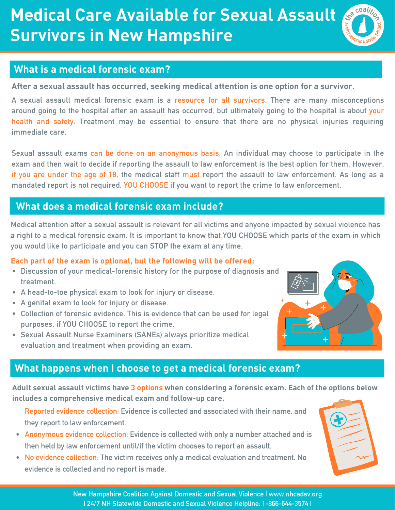# **Medical Care Available for Sexual Assault Survivors in New Hampshire**



### **What is a medical forensic exam?**

**After a sexual assault has occurred, seeking medical attention is one option for a survivor.**

**A sexual assault medical forensic exam is a resource for all survivors. There are many misconceptions** around going to the hospital after an assault has occurred, but ultimately going to the hospital is about your **health and safety. Treatment may be essential to ensure that there are no physical injuries requiring immediate care.**

Sexual assault exams can be done on an anonymous basis. An individual may choose to participate in the exam and then wait to decide if reporting the assault to law enforcement is the best option for them. However, if you are under the age of 18, the medical staff must report the assault to law enforcement. As long as a **mandated report is not required, YOU CHOOSE if you want to report the crime to law enforcement.**

### **What does a medical forensic exam include?**

Medical attention after a sexual assault is relevant for all victims and anyone impacted by sexual violence has a right to a medical forensic exam. It is important to know that YOU CHOOSE which parts of the exam in which **you would like to participate and you can STOP the exam at any time.**

### **Each part of the exam is optional, but the following will be offered:**

- **Discussion of your medical-forensic history for the purpose of diagnosis and treatment.**
- **A head-to-toe physical exam to look for injury or disease.**
- **A genital exam to look for injury or disease.**
- **Collection of forensic evidence. This is evidence that can be used for legal purposes, if YOU CHOOSE to report the crime.**
- **Sexual Assault Nurse Examiners (SANEs) always prioritize medical evaluation and treatment when providing an exam.**

### **What happens when I choose to get a medical forensic exam?**

**Adult sexual assault victims have 3 options when considering a forensic exam. Each of the options below includes a comprehensive medical exam and follow-up care.**

**Reported evidence collection: Evidence is collected and associated with their name, and they report to law enforcement.**

- **Anonymous evidence collection: Evidence is collected with only a number attached and is then held by law enforcement until/if the victim chooses to report an assault.**
- **No evidence collection: The victim receives only a medical evaluation and treatment. No evidence is collected and no report is made.**